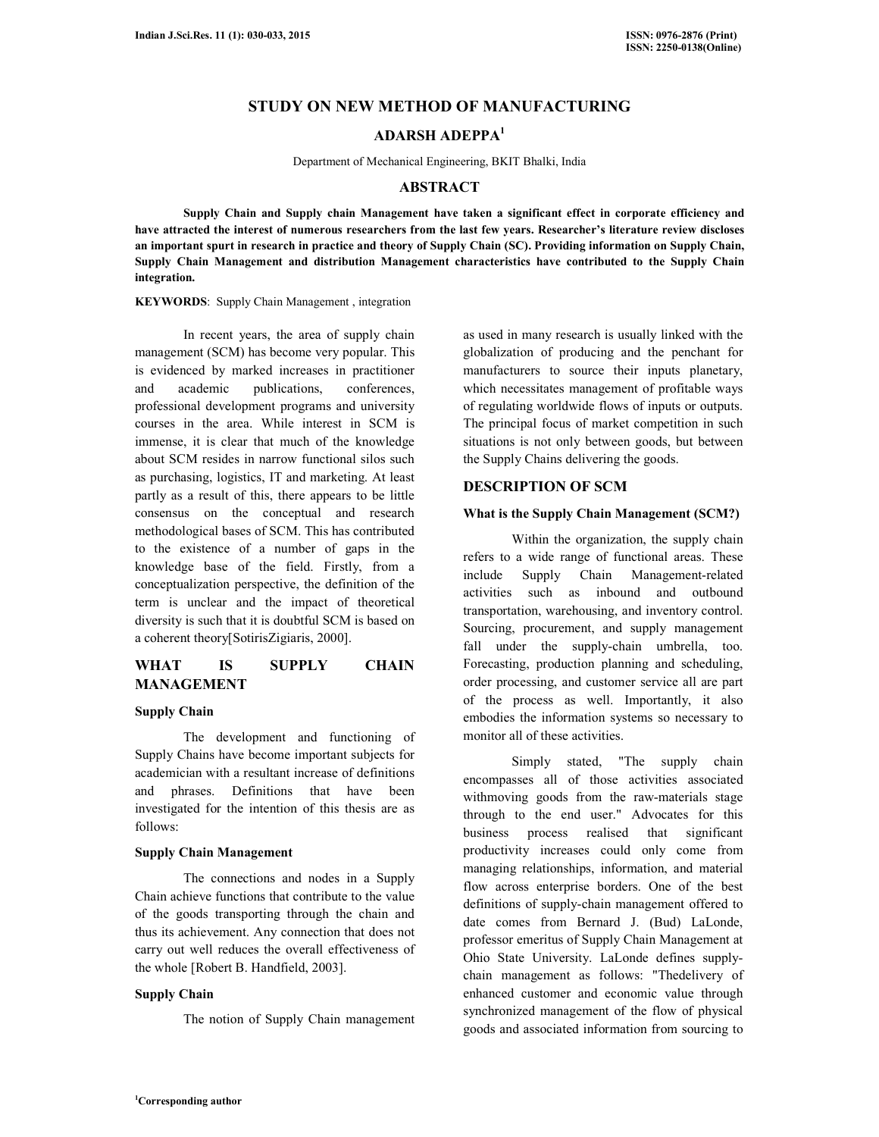# **STUDY ON NEW METHOD OF MANUFACTURING**

# **ADARSH ADEPPA<sup>1</sup>**

Department of Mechanical Engineering, BKIT Bhalki, India

## **ABSTRACT**

 **Supply Chain and Supply chain Management have taken a significant effect in corporate efficiency and have attracted the interest of numerous researchers from the last few years. Researcher's literature review discloses an important spurt in research in practice and theory of Supply Chain (SC). Providing information on Supply Chain, Supply Chain Management and distribution Management characteristics have contributed to the Supply Chain integration.** 

**KEYWORDS**: Supply Chain Management , integration

 In recent years, the area of supply chain management (SCM) has become very popular. This is evidenced by marked increases in practitioner and academic publications, conferences, professional development programs and university courses in the area. While interest in SCM is immense, it is clear that much of the knowledge about SCM resides in narrow functional silos such as purchasing, logistics, IT and marketing. At least partly as a result of this, there appears to be little consensus on the conceptual and research methodological bases of SCM. This has contributed to the existence of a number of gaps in the knowledge base of the field. Firstly, from a conceptualization perspective, the definition of the term is unclear and the impact of theoretical diversity is such that it is doubtful SCM is based on a coherent theory[SotirisZigiaris, 2000].

## **WHAT IS SUPPLY CHAIN MANAGEMENT**

## **Supply Chain**

 The development and functioning of Supply Chains have become important subjects for academician with a resultant increase of definitions and phrases. Definitions that have been investigated for the intention of this thesis are as follows:

## **Supply Chain Management**

 The connections and nodes in a Supply Chain achieve functions that contribute to the value of the goods transporting through the chain and thus its achievement. Any connection that does not carry out well reduces the overall effectiveness of the whole [Robert B. Handfield, 2003].

## **Supply Chain**

The notion of Supply Chain management

as used in many research is usually linked with the globalization of producing and the penchant for manufacturers to source their inputs planetary, which necessitates management of profitable ways of regulating worldwide flows of inputs or outputs. The principal focus of market competition in such situations is not only between goods, but between the Supply Chains delivering the goods.

## **DESCRIPTION OF SCM**

#### **What is the Supply Chain Management (SCM?)**

 Within the organization, the supply chain refers to a wide range of functional areas. These include Supply Chain Management-related activities such as inbound and outbound transportation, warehousing, and inventory control. Sourcing, procurement, and supply management fall under the supply-chain umbrella, too. Forecasting, production planning and scheduling, order processing, and customer service all are part of the process as well. Importantly, it also embodies the information systems so necessary to monitor all of these activities.

 Simply stated, "The supply chain encompasses all of those activities associated withmoving goods from the raw-materials stage through to the end user." Advocates for this business process realised that significant productivity increases could only come from managing relationships, information, and material flow across enterprise borders. One of the best definitions of supply-chain management offered to date comes from Bernard J. (Bud) LaLonde, professor emeritus of Supply Chain Management at Ohio State University. LaLonde defines supplychain management as follows: "Thedelivery of enhanced customer and economic value through synchronized management of the flow of physical goods and associated information from sourcing to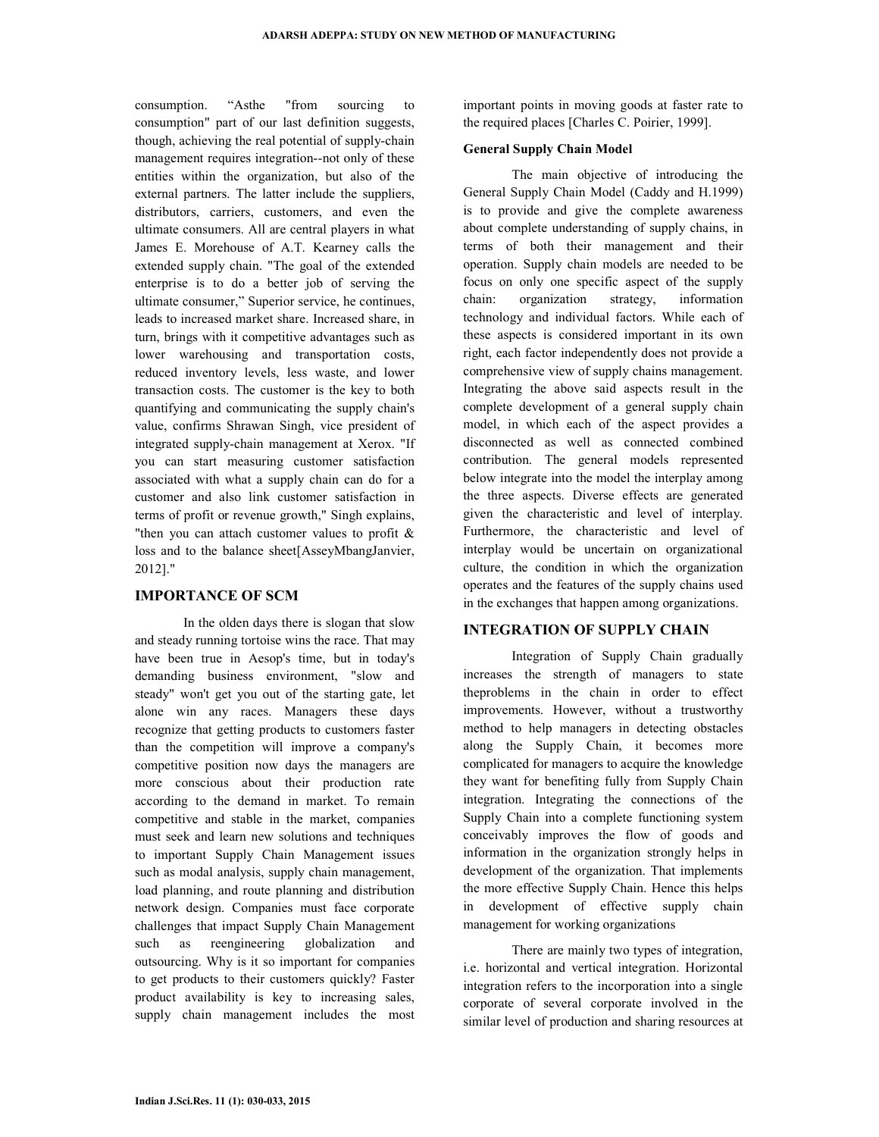consumption. "Asthe "from sourcing to consumption" part of our last definition suggests, though, achieving the real potential of supply-chain management requires integration--not only of these entities within the organization, but also of the external partners. The latter include the suppliers, distributors, carriers, customers, and even the ultimate consumers. All are central players in what James E. Morehouse of A.T. Kearney calls the extended supply chain. "The goal of the extended enterprise is to do a better job of serving the ultimate consumer," Superior service, he continues, leads to increased market share. Increased share, in turn, brings with it competitive advantages such as lower warehousing and transportation costs, reduced inventory levels, less waste, and lower transaction costs. The customer is the key to both quantifying and communicating the supply chain's value, confirms Shrawan Singh, vice president of integrated supply-chain management at Xerox. "If you can start measuring customer satisfaction associated with what a supply chain can do for a customer and also link customer satisfaction in terms of profit or revenue growth," Singh explains, "then you can attach customer values to profit & loss and to the balance sheet[AsseyMbangJanvier, 2012]."

## **IMPORTANCE OF SCM**

 In the olden days there is slogan that slow and steady running tortoise wins the race. That may have been true in Aesop's time, but in today's demanding business environment, "slow and steady" won't get you out of the starting gate, let alone win any races. Managers these days recognize that getting products to customers faster than the competition will improve a company's competitive position now days the managers are more conscious about their production rate according to the demand in market. To remain competitive and stable in the market, companies must seek and learn new solutions and techniques to important Supply Chain Management issues such as modal analysis, supply chain management, load planning, and route planning and distribution network design. Companies must face corporate challenges that impact Supply Chain Management such as reengineering globalization and outsourcing. Why is it so important for companies to get products to their customers quickly? Faster product availability is key to increasing sales, supply chain management includes the most

important points in moving goods at faster rate to the required places [Charles C. Poirier, 1999].

#### **General Supply Chain Model**

 The main objective of introducing the General Supply Chain Model (Caddy and H.1999) is to provide and give the complete awareness about complete understanding of supply chains, in terms of both their management and their operation. Supply chain models are needed to be focus on only one specific aspect of the supply chain: organization strategy, information technology and individual factors. While each of these aspects is considered important in its own right, each factor independently does not provide a comprehensive view of supply chains management. Integrating the above said aspects result in the complete development of a general supply chain model, in which each of the aspect provides a disconnected as well as connected combined contribution. The general models represented below integrate into the model the interplay among the three aspects. Diverse effects are generated given the characteristic and level of interplay. Furthermore, the characteristic and level of interplay would be uncertain on organizational culture, the condition in which the organization operates and the features of the supply chains used in the exchanges that happen among organizations.

#### **INTEGRATION OF SUPPLY CHAIN**

 Integration of Supply Chain gradually increases the strength of managers to state theproblems in the chain in order to effect improvements. However, without a trustworthy method to help managers in detecting obstacles along the Supply Chain, it becomes more complicated for managers to acquire the knowledge they want for benefiting fully from Supply Chain integration. Integrating the connections of the Supply Chain into a complete functioning system conceivably improves the flow of goods and information in the organization strongly helps in development of the organization. That implements the more effective Supply Chain. Hence this helps in development of effective supply chain management for working organizations

 There are mainly two types of integration, i.e. horizontal and vertical integration. Horizontal integration refers to the incorporation into a single corporate of several corporate involved in the similar level of production and sharing resources at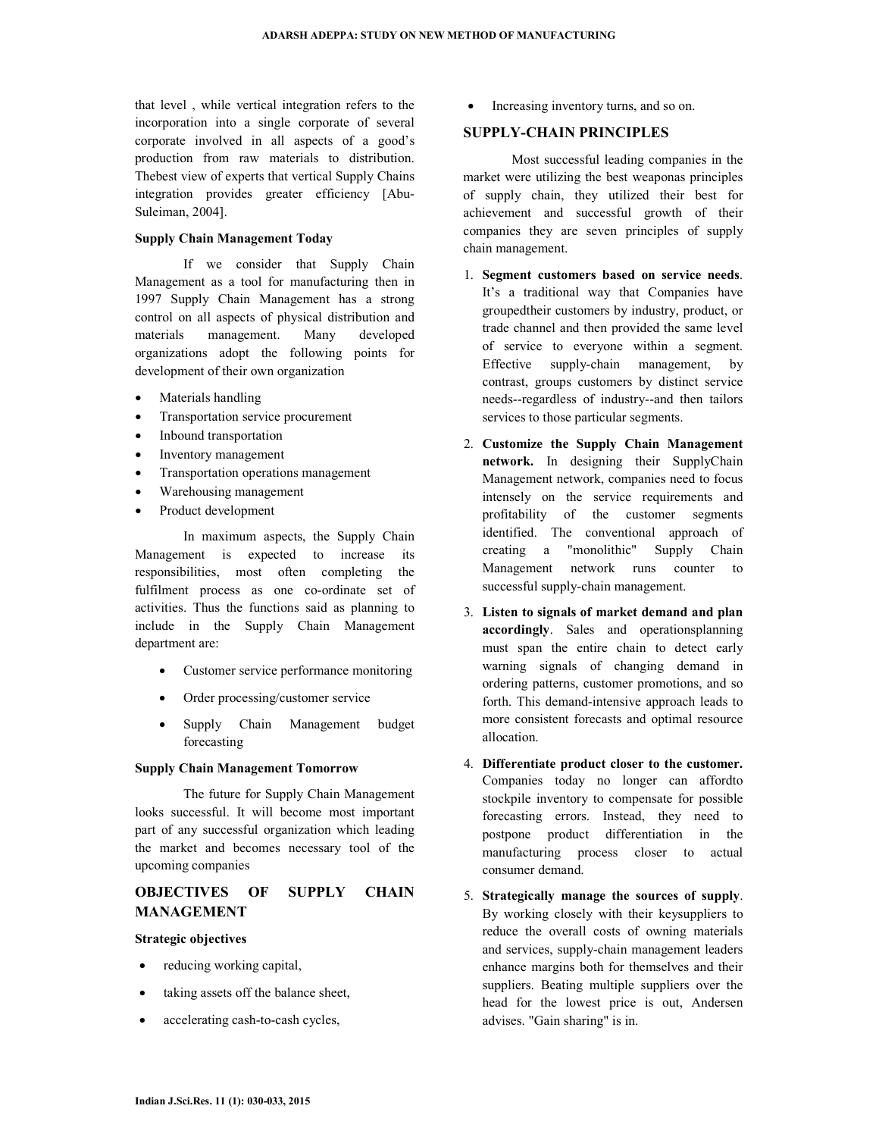that level , while vertical integration refers to the incorporation into a single corporate of several corporate involved in all aspects of a good's production from raw materials to distribution. Thebest view of experts that vertical Supply Chains integration provides greater efficiency [Abu-Suleiman, 2004].

### **Supply Chain Management Today**

 If we consider that Supply Chain Management as a tool for manufacturing then in 1997 Supply Chain Management has a strong control on all aspects of physical distribution and materials management. Many developed organizations adopt the following points for development of their own organization

- Materials handling
- Transportation service procurement
- Inbound transportation
- Inventory management
- Transportation operations management
- Warehousing management
- Product development

 In maximum aspects, the Supply Chain Management is expected to increase its responsibilities, most often completing the fulfilment process as one co-ordinate set of activities. Thus the functions said as planning to include in the Supply Chain Management department are:

- Customer service performance monitoring
- Order processing/customer service
- Supply Chain Management budget forecasting

#### **Supply Chain Management Tomorrow**

 The future for Supply Chain Management looks successful. It will become most important part of any successful organization which leading the market and becomes necessary tool of the upcoming companies

## **OBJECTIVES OF SUPPLY CHAIN MANAGEMENT**

### **Strategic objectives**

- reducing working capital,
- taking assets off the balance sheet,
- accelerating cash-to-cash cycles,

• Increasing inventory turns, and so on.

## **SUPPLY-CHAIN PRINCIPLES**

 Most successful leading companies in the market were utilizing the best weaponas principles of supply chain, they utilized their best for achievement and successful growth of their companies they are seven principles of supply chain management.

- 1. **Segment customers based on service needs**. It's a traditional way that Companies have groupedtheir customers by industry, product, or trade channel and then provided the same level of service to everyone within a segment. Effective supply-chain management, by contrast, groups customers by distinct service needs--regardless of industry--and then tailors services to those particular segments.
- 2. **Customize the Supply Chain Management network.** In designing their SupplyChain Management network, companies need to focus intensely on the service requirements and profitability of the customer segments identified. The conventional approach of creating a "monolithic" Supply Chain Management network runs counter to successful supply-chain management.
- 3. **Listen to signals of market demand and plan accordingly**. Sales and operationsplanning must span the entire chain to detect early warning signals of changing demand in ordering patterns, customer promotions, and so forth. This demand-intensive approach leads to more consistent forecasts and optimal resource allocation.
- 4. **Differentiate product closer to the customer.**  Companies today no longer can affordto stockpile inventory to compensate for possible forecasting errors. Instead, they need to postpone product differentiation in the manufacturing process closer to actual consumer demand.
- 5. **Strategically manage the sources of supply**. By working closely with their keysuppliers to reduce the overall costs of owning materials and services, supply-chain management leaders enhance margins both for themselves and their suppliers. Beating multiple suppliers over the head for the lowest price is out, Andersen advises. "Gain sharing" is in.